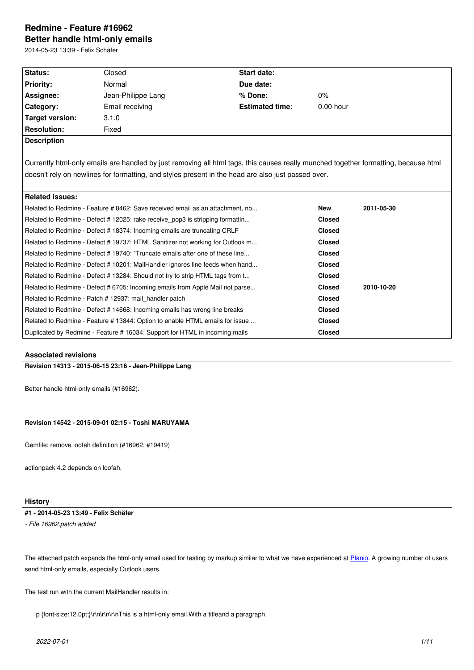#### **Better handle html-only emails**

2014-05-23 13:39 - Felix Schäfer

| Status:                                                                                                                             | Closed                                                                                             | <b>Start date:</b>     |               |            |  |  |  |
|-------------------------------------------------------------------------------------------------------------------------------------|----------------------------------------------------------------------------------------------------|------------------------|---------------|------------|--|--|--|
| <b>Priority:</b>                                                                                                                    | Normal                                                                                             | Due date:              |               |            |  |  |  |
| Assignee:                                                                                                                           | Jean-Philippe Lang                                                                                 | % Done:                | 0%            |            |  |  |  |
| Category:                                                                                                                           | Email receiving                                                                                    | <b>Estimated time:</b> | $0.00$ hour   |            |  |  |  |
| Target version:                                                                                                                     | 3.1.0                                                                                              |                        |               |            |  |  |  |
| <b>Resolution:</b>                                                                                                                  | Fixed                                                                                              |                        |               |            |  |  |  |
| <b>Description</b>                                                                                                                  |                                                                                                    |                        |               |            |  |  |  |
|                                                                                                                                     |                                                                                                    |                        |               |            |  |  |  |
| Currently html-only emails are handled by just removing all html tags, this causes really munched together formatting, because html |                                                                                                    |                        |               |            |  |  |  |
|                                                                                                                                     | doesn't rely on newlines for formatting, and styles present in the head are also just passed over. |                        |               |            |  |  |  |
|                                                                                                                                     |                                                                                                    |                        |               |            |  |  |  |
| <b>Related issues:</b>                                                                                                              |                                                                                                    |                        |               |            |  |  |  |
| Related to Redmine - Feature #8462: Save received email as an attachment, no                                                        |                                                                                                    |                        | <b>New</b>    | 2011-05-30 |  |  |  |
| Related to Redmine - Defect # 12025: rake receive pop3 is stripping formattin                                                       |                                                                                                    |                        | <b>Closed</b> |            |  |  |  |
| Related to Redmine - Defect # 18374: Incoming emails are truncating CRLF                                                            |                                                                                                    |                        | <b>Closed</b> |            |  |  |  |
| Related to Redmine - Defect # 19737: HTML Sanitizer not working for Outlook m                                                       |                                                                                                    |                        | <b>Closed</b> |            |  |  |  |
|                                                                                                                                     | Related to Redmine - Defect # 19740: "Truncate emails after one of these line                      | <b>Closed</b>          |               |            |  |  |  |
| Related to Redmine - Defect # 10201: MailHandler ignores line feeds when hand                                                       |                                                                                                    |                        |               |            |  |  |  |
| Related to Redmine - Defect # 13284: Should not try to strip HTML tags from t                                                       |                                                                                                    |                        | <b>Closed</b> |            |  |  |  |
| Related to Redmine - Defect # 6705: Incoming emails from Apple Mail not parse                                                       |                                                                                                    |                        | <b>Closed</b> | 2010-10-20 |  |  |  |
| Related to Redmine - Patch # 12937: mail_handler patch                                                                              |                                                                                                    |                        | <b>Closed</b> |            |  |  |  |
| Related to Redmine - Defect # 14668: Incoming emails has wrong line breaks                                                          |                                                                                                    |                        | <b>Closed</b> |            |  |  |  |
| Related to Redmine - Feature #13844: Option to enable HTML emails for issue                                                         |                                                                                                    |                        | <b>Closed</b> |            |  |  |  |
| Duplicated by Redmine - Feature #16034: Support for HTML in incoming mails                                                          |                                                                                                    |                        | <b>Closed</b> |            |  |  |  |

# **Associated revisions**

**Revision 14313 - 2015-06-15 23:16 - Jean-Philippe Lang**

Better handle html-only emails (#16962).

#### **Revision 14542 - 2015-09-01 02:15 - Toshi MARUYAMA**

Gemfile: remove loofah definition (#16962, #19419)

actionpack 4.2 depends on loofah.

# **History**

# **#1 - 2014-05-23 13:49 - Felix Schäfer**

*- File 16962.patch added*

The attached patch expands the html-only email used for testing by markup similar to what we have experienced at Planio. A growing number of users send html-only emails, especially Outlook users.

The test run with the current MailHandler results in:

p {font-size:12.0pt;}\r\n\r\n\r\nThis is a html-only email.With a titleand a paragraph.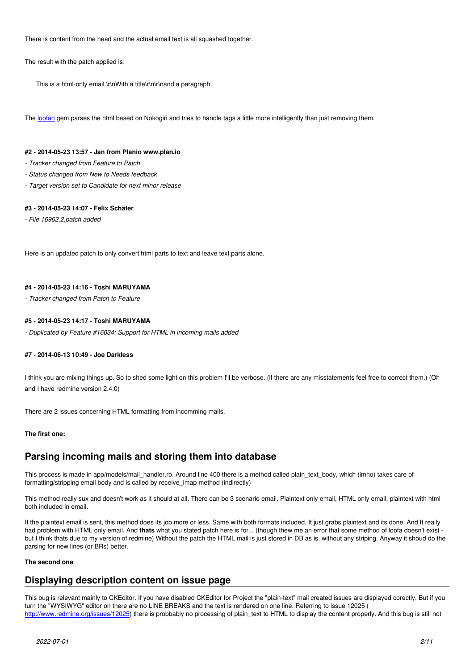There is content from the head and the actual email text is all squashed together.

The result with the patch applied is:

This is a html-only email.\r\nWith a title\r\n\r\nand a paragraph.

The loofah gem parses the html based on Nokogiri and tries to handle tags a little more intelligently than just removing them.

#### **#2 - 2014-05-23 13:57 - Jan from Planio www.plan.io**

- *Tr[acker c](https://github.com/flavorjones/loofah)hanged from Feature to Patch*
- *Status changed from New to Needs feedback*
- *Target version set to Candidate for next minor release*

# **#3 - 2014-05-23 14:07 - Felix Schäfer**

*- File 16962.2.patch added*

Here is an updated patch to only convert html parts to text and leave text parts alone.

#### **#4 - 2014-05-23 14:16 - Toshi MARUYAMA**

*- Tracker changed from Patch to Feature*

# **#5 - 2014-05-23 14:17 - Toshi MARUYAMA**

*- Duplicated by Feature #16034: Support for HTML in incoming mails added*

# **#7 - 2014-06-13 10:49 - Joe Darkless**

I think you are mixing things up. So to shed some light on this problem I'll be verbose. (if there are any misstatements feel free to correct them.) (Oh and I have redmine version 2.4.0)

There are 2 issues concerning HTML formatting from incomming mails.

# **The first one:**

# **Parsing incoming mails and storing them into database**

This process is made in app/models/mail\_handler.rb. Around line 400 there is a method called plain\_text\_body, which (imho) takes care of formatting/stripping email body and is called by receive\_imap method (indirectly)

This method really sux and doesn't work as it should at all. There can be 3 scenario email. Plaintext only email, HTML only email, plaintext with html both included in email.

If the plaintext email is sent, this method does its job more or less. Same with both formats included. It just grabs plaintext and its done. And It really had problem with HTML only email. And **thats** what you stated patch here is for... (though thew me an error that some method of loofa doesn't exist but I think thats due to my version of redmine) Without the patch the HTML mail is just stored in DB as is, without any striping. Anyway it shoud do the parsing for new lines (or BRs) better.

#### **The second one**

# **Displaying description content on issue page**

This bug is relevant mainly to CKEditor. If you have disabled CKEditor for Project the "plain-text" mail created issues are displayed corectly. But if you turn the "WYSIWYG" editor on there are no LINE BREAKS and the text is rendered on one line. Referring to issue 12025 ( http://www.redmine.org/issues/12025) there is probbably no processing of plain\_text to HTML to display the content properly. And this bug is still not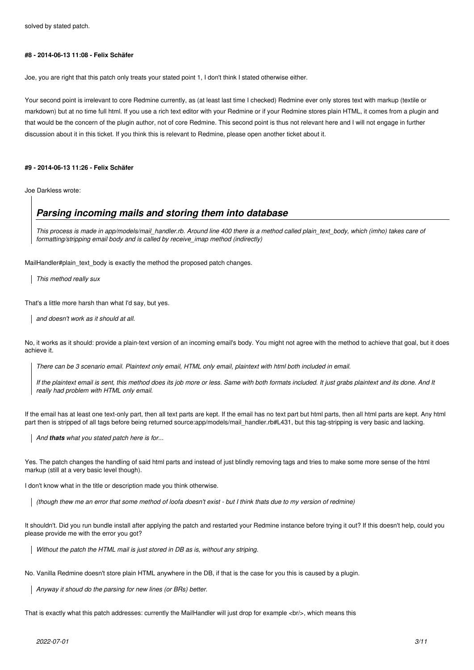solved by stated patch.

### **#8 - 2014-06-13 11:08 - Felix Schäfer**

Joe, you are right that this patch only treats your stated point 1, I don't think I stated otherwise either.

Your second point is irrelevant to core Redmine currently, as (at least last time I checked) Redmine ever only stores text with markup (textile or markdown) but at no time full html. If you use a rich text editor with your Redmine or if your Redmine stores plain HTML, it comes from a plugin and that would be the concern of the plugin author, not of core Redmine. This second point is thus not relevant here and I will not engage in further discussion about it in this ticket. If you think this is relevant to Redmine, please open another ticket about it.

# **#9 - 2014-06-13 11:26 - Felix Schäfer**

Joe Darkless wrote:

# *Parsing incoming mails and storing them into database*

*This process is made in app/models/mail\_handler.rb. Around line 400 there is a method called plain\_text\_body, which (imho) takes care of formatting/stripping email body and is called by receive\_imap method (indirectly)*

MailHandler#plain\_text\_body is exactly the method the proposed patch changes.

*This method really sux*

That's a little more harsh than what I'd say, but yes.

*and doesn't work as it should at all.*

No, it works as it should: provide a plain-text version of an incoming email's body. You might not agree with the method to achieve that goal, but it does achieve it.

*There can be 3 scenario email. Plaintext only email, HTML only email, plaintext with html both included in email.*

*If the plaintext email is sent, this method does its job more or less. Same with both formats included. It just grabs plaintext and its done. And It really had problem with HTML only email.*

If the email has at least one text-only part, then all text parts are kept. If the email has no text part but html parts, then all html parts are kept. Any html part then is stripped of all tags before being returned source:app/models/mail\_handler.rb#L431, but this tag-stripping is very basic and lacking.

*And thats what you stated patch here is for...*

Yes. The patch changes the handling of said html parts and instead of just blindly removing tags and tries to make some more sense of the html markup (still at a very basic level though).

I don't know what in the title or description made you think otherwise.

*(though thew me an error that some method of loofa doesn't exist - but I think thats due to my version of redmine)*

It shouldn't. Did you run bundle install after applying the patch and restarted your Redmine instance before trying it out? If this doesn't help, could you please provide me with the error you got?

*Without the patch the HTML mail is just stored in DB as is, without any striping.*

No. Vanilla Redmine doesn't store plain HTML anywhere in the DB, if that is the case for you this is caused by a plugin.

*Anyway it shoud do the parsing for new lines (or BRs) better.*

That is exactly what this patch addresses: currently the MailHandler will just drop for example <br/>khind means this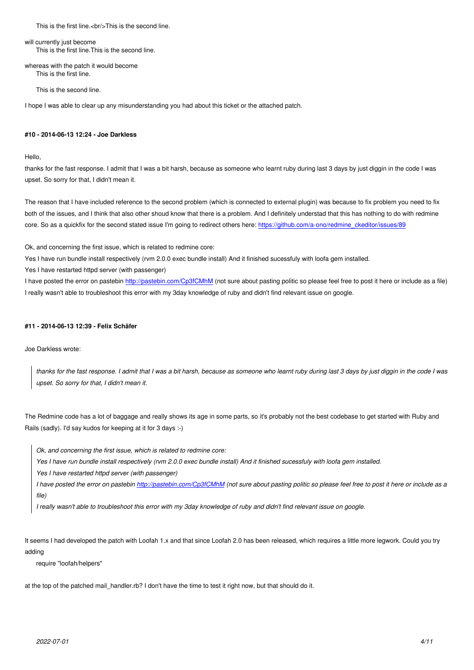will currently just become This is the first line.This is the second line.

whereas with the patch it would become This is the first line.

This is the second line.

I hope I was able to clear up any misunderstanding you had about this ticket or the attached patch.

# **#10 - 2014-06-13 12:24 - Joe Darkless**

Hello,

thanks for the fast response. I admit that I was a bit harsh, because as someone who learnt ruby during last 3 days by just diggin in the code I was upset. So sorry for that, I didn't mean it.

The reason that I have included reference to the second problem (which is connected to external plugin) was because to fix problem you need to fix both of the issues, and I think that also other shoud know that there is a problem. And I definitely understad that this has nothing to do with redmine core. So as a quickfix for the second stated issue I'm going to redirect others here: https://github.com/a-ono/redmine\_ckeditor/issues/89

Ok, and concerning the first issue, which is related to redmine core:

Yes I have run bundle install respectively (rvm 2.0.0 exec bundle install) And it fini[shed sucessfuly with loofa gem installed.](https://github.com/a-ono/redmine_ckeditor/issues/89)

Yes I have restarted httpd server (with passenger)

I have posted the error on pastebin http://pastebin.com/Cp3fCMhM (not sure about pasting politic so please feel free to post it here or include as a file) I really wasn't able to troubleshoot this error with my 3day knowledge of ruby and didn't find relevant issue on google.

### **#11 - 2014-06-13 12:39 - Felix Sc[häfer](http://pastebin.com/Cp3fCMhM)**

Joe Darkless wrote:

*thanks for the fast response. I admit that I was a bit harsh, because as someone who learnt ruby during last 3 days by just diggin in the code I was upset. So sorry for that, I didn't mean it.*

The Redmine code has a lot of baggage and really shows its age in some parts, so it's probably not the best codebase to get started with Ruby and Rails (sadly). I'd say kudos for keeping at it for 3 days :-)

*Ok, and concerning the first issue, which is related to redmine core:*

*Yes I have run bundle install respectively (rvm 2.0.0 exec bundle install) And it finished sucessfuly with loofa gem installed.*

*Yes I have restarted httpd server (with passenger)*

*I have posted the error on pastebin http://pastebin.com/Cp3fCMhM (not sure about pasting politic so please feel free to post it here or include as a file)*

*I really wasn't able to troubleshoot this error with my 3day knowledge of ruby and didn't find relevant issue on google.*

It seems I had developed the patch with Loofah 1.x and that since Loofah 2.0 has been released, which requires a little more legwork. Could you try adding

require "loofah/helpers"

at the top of the patched mail\_handler.rb? I don't have the time to test it right now, but that should do it.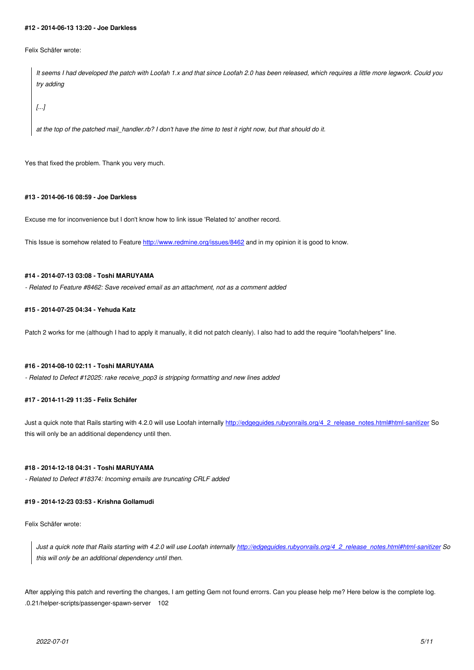Felix Schäfer wrote:

*It seems I had developed the patch with Loofah 1.x and that since Loofah 2.0 has been released, which requires a little more legwork. Could you try adding*

*[...]*

*at the top of the patched mail\_handler.rb? I don't have the time to test it right now, but that should do it.*

Yes that fixed the problem. Thank you very much.

#### **#13 - 2014-06-16 08:59 - Joe Darkless**

Excuse me for inconvenience but I don't know how to link issue 'Related to' another record.

This Issue is somehow related to Feature http://www.redmine.org/issues/8462 and in my opinion it is good to know.

# **#14 - 2014-07-13 03:08 - Toshi MARUYAMA**

*- Related to Feature #8462: Save receive[d email as an attachment, not as a co](http://www.redmine.org/issues/8462)mment added*

# **#15 - 2014-07-25 04:34 - Yehuda Katz**

Patch 2 works for me (although I had to apply it manually, it did not patch cleanly). I also had to add the require "loofah/helpers" line.

# **#16 - 2014-08-10 02:11 - Toshi MARUYAMA**

*- Related to Defect #12025: rake receive\_pop3 is stripping formatting and new lines added*

# **#17 - 2014-11-29 11:35 - Felix Schäfer**

Just a quick note that Rails starting with 4.2.0 will use Loofah internally http://edgeguides.rubyonrails.org/4\_2\_release\_notes.html#html-sanitizer So this will only be an additional dependency until then.

#### **#18 - 2014-12-18 04:31 - Toshi MARUYAMA**

*- Related to Defect #18374: Incoming emails are truncating CRLF added*

#### **#19 - 2014-12-23 03:53 - Krishna Gollamudi**

Felix Schäfer wrote:

*Just a quick note that Rails starting with 4.2.0 will use Loofah internally http://edgeguides.rubyonrails.org/4\_2\_release\_notes.html#html-sanitizer So this will only be an additional dependency until then.*

After applying this patch and reverting the changes, I am getting Gem not f[ound errorrs. Can you please help me? Here below is the complete log.](http://edgeguides.rubyonrails.org/4_2_release_notes.html#html-sanitizer) .0.21/helper-scripts/passenger-spawn-server 102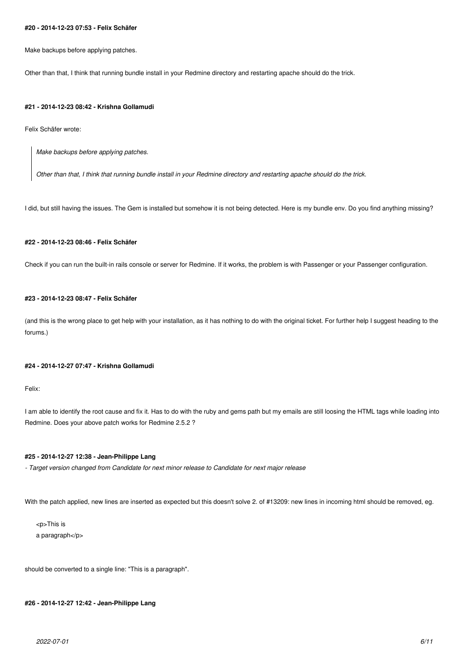#### **#20 - 2014-12-23 07:53 - Felix Schäfer**

Make backups before applying patches.

Other than that, I think that running bundle install in your Redmine directory and restarting apache should do the trick.

#### **#21 - 2014-12-23 08:42 - Krishna Gollamudi**

Felix Schäfer wrote:

*Make backups before applying patches.*

*Other than that, I think that running bundle install in your Redmine directory and restarting apache should do the trick.*

I did, but still having the issues. The Gem is installed but somehow it is not being detected. Here is my bundle env. Do you find anything missing?

# **#22 - 2014-12-23 08:46 - Felix Schäfer**

Check if you can run the built-in rails console or server for Redmine. If it works, the problem is with Passenger or your Passenger configuration.

# **#23 - 2014-12-23 08:47 - Felix Schäfer**

(and this is the wrong place to get help with your installation, as it has nothing to do with the original ticket. For further help I suggest heading to the forums.)

### **#24 - 2014-12-27 07:47 - Krishna Gollamudi**

Felix:

I am able to identify the root cause and fix it. Has to do with the ruby and gems path but my emails are still loosing the HTML tags while loading into Redmine. Does your above patch works for Redmine 2.5.2 ?

# **#25 - 2014-12-27 12:38 - Jean-Philippe Lang**

*- Target version changed from Candidate for next minor release to Candidate for next major release*

With the patch applied, new lines are inserted as expected but this doesn't solve 2. of #13209: new lines in incoming html should be removed, eg.

<p>This is a paragraph</p>

should be converted to a single line: "This is a paragraph".

**#26 - 2014-12-27 12:42 - Jean-Philippe Lang**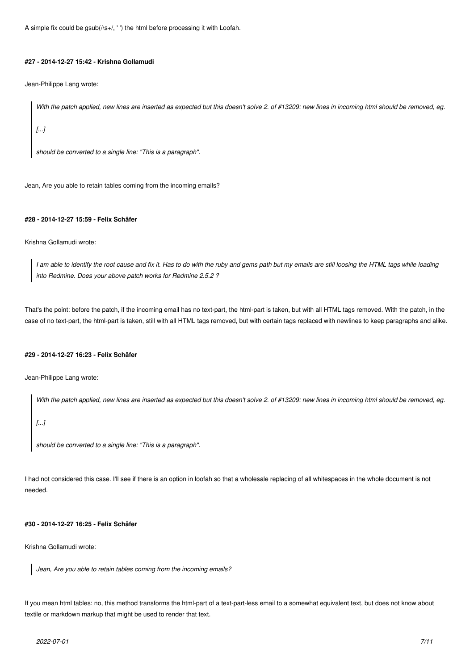A simple fix could be gsub(/\s+/, ' ') the html before processing it with Loofah.

#### **#27 - 2014-12-27 15:42 - Krishna Gollamudi**

Jean-Philippe Lang wrote:

*With the patch applied, new lines are inserted as expected but this doesn't solve 2. of #13209: new lines in incoming html should be removed, eg.*

*[...]*

*should be converted to a single line: "This is a paragraph".*

Jean, Are you able to retain tables coming from the incoming emails?

#### **#28 - 2014-12-27 15:59 - Felix Schäfer**

Krishna Gollamudi wrote:

*I am able to identify the root cause and fix it. Has to do with the ruby and gems path but my emails are still loosing the HTML tags while loading into Redmine. Does your above patch works for Redmine 2.5.2 ?*

That's the point: before the patch, if the incoming email has no text-part, the html-part is taken, but with all HTML tags removed. With the patch, in the case of no text-part, the html-part is taken, still with all HTML tags removed, but with certain tags replaced with newlines to keep paragraphs and alike.

# **#29 - 2014-12-27 16:23 - Felix Schäfer**

Jean-Philippe Lang wrote:

*With the patch applied, new lines are inserted as expected but this doesn't solve 2. of #13209: new lines in incoming html should be removed, eg.*

*[...]*

*should be converted to a single line: "This is a paragraph".*

I had not considered this case. I'll see if there is an option in loofah so that a wholesale replacing of all whitespaces in the whole document is not needed.

# **#30 - 2014-12-27 16:25 - Felix Schäfer**

Krishna Gollamudi wrote:

*Jean, Are you able to retain tables coming from the incoming emails?*

If you mean html tables: no, this method transforms the html-part of a text-part-less email to a somewhat equivalent text, but does not know about textile or markdown markup that might be used to render that text.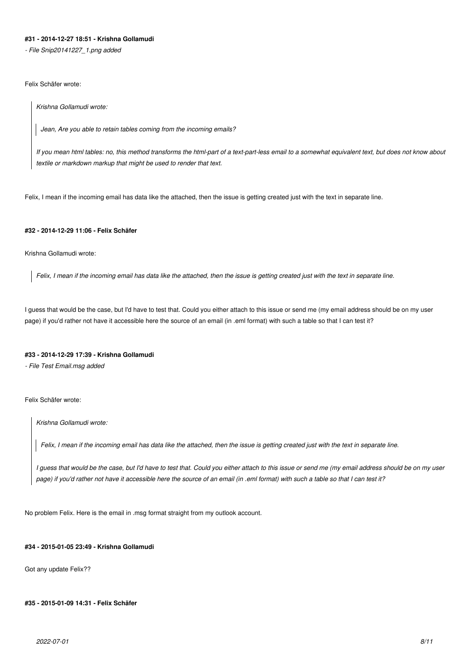# **#31 - 2014-12-27 18:51 - Krishna Gollamudi**

*- File Snip20141227\_1.png added*

Felix Schäfer wrote:

*Krishna Gollamudi wrote:*

*Jean, Are you able to retain tables coming from the incoming emails?*

*If you mean html tables: no, this method transforms the html-part of a text-part-less email to a somewhat equivalent text, but does not know about textile or markdown markup that might be used to render that text.*

Felix, I mean if the incoming email has data like the attached, then the issue is getting created just with the text in separate line.

# **#32 - 2014-12-29 11:06 - Felix Schäfer**

Krishna Gollamudi wrote:

*Felix, I mean if the incoming email has data like the attached, then the issue is getting created just with the text in separate line.*

I guess that would be the case, but I'd have to test that. Could you either attach to this issue or send me (my email address should be on my user page) if you'd rather not have it accessible here the source of an email (in .eml format) with such a table so that I can test it?

#### **#33 - 2014-12-29 17:39 - Krishna Gollamudi**

*- File Test Email.msg added*

Felix Schäfer wrote:

*Krishna Gollamudi wrote:*

*Felix, I mean if the incoming email has data like the attached, then the issue is getting created just with the text in separate line.*

*I guess that would be the case, but I'd have to test that. Could you either attach to this issue or send me (my email address should be on my user page) if you'd rather not have it accessible here the source of an email (in .eml format) with such a table so that I can test it?*

No problem Felix. Here is the email in .msg format straight from my outlook account.

# **#34 - 2015-01-05 23:49 - Krishna Gollamudi**

Got any update Felix??

### **#35 - 2015-01-09 14:31 - Felix Schäfer**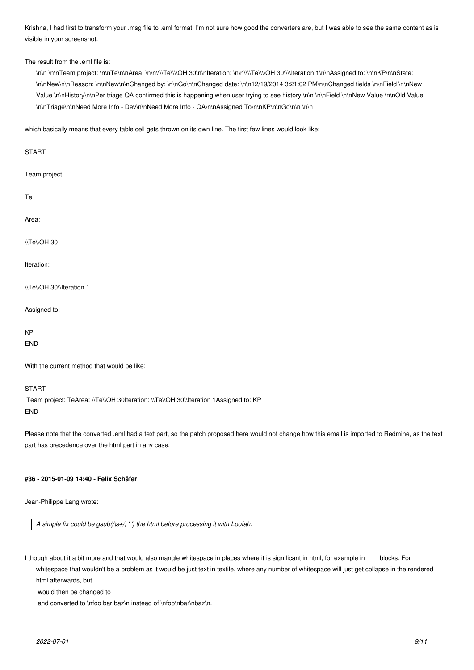Krishna, I had first to transform your .msg file to .eml format, I'm not sure how good the converters are, but I was able to see the same content as is visible in your screenshot.

#### The result from the eml file is:

\n\n \n\nTeam project: \n\nTe\n\nArea: \n\n\\\\Te\\\\OH 30\n\nIteration: \n\n\\\\Te\\\\OH 30\\\\Iteration 1\n\nAssigned to: \n\nKP\n\nState: \n\nNew\n\nReason: \n\nNew\n\nChanged by: \n\nGo\n\nChanged date: \n\n12/19/2014 3:21:02 PM\n\nChanged fields \n\nField \n\nNew Value \n\nHistory\n\nPer triage QA confirmed this is happening when user trying to see history.\n\n \n\nField \n\nNew Value \n\nOld Value \n\nTriage\n\nNeed More Info - Dev\n\nNeed More Info - QA\n\nAssigned To\n\nKP\n\nGo\n\n \n\n

which basically means that every table cell gets thrown on its own line. The first few lines would look like:

| <b>START</b>                                |
|---------------------------------------------|
| Team project:                               |
| Te                                          |
| Area:                                       |
| \\Te\\OH 30                                 |
| Iteration:                                  |
| \\Te\\OH 30\\Iteration 1                    |
| Assigned to:                                |
| <b>KP</b><br><b>END</b>                     |
| With the current method that would be like: |

#### START

Team project: TeArea: \\Te\\OH 30Iteration: \\Te\\OH 30\\Iteration 1Assigned to: KP END

Please note that the converted .eml had a text part, so the patch proposed here would not change how this email is imported to Redmine, as the text part has precedence over the html part in any case.

#### **#36 - 2015-01-09 14:40 - Felix Schäfer**

Jean-Philippe Lang wrote:

*A simple fix could be gsub(/\s+/, ' ') the html before processing it with Loofah.*

I though about it a bit more and that would also mangle whitespace in places where it is significant in html, for example in blocks. For whitespace that wouldn't be a problem as it would be just text in textile, where any number of whitespace will just get collapse in the rendered html afterwards, but

would then be changed to

and converted to \nfoo bar baz\n instead of \nfoo\nbar\nbaz\n.